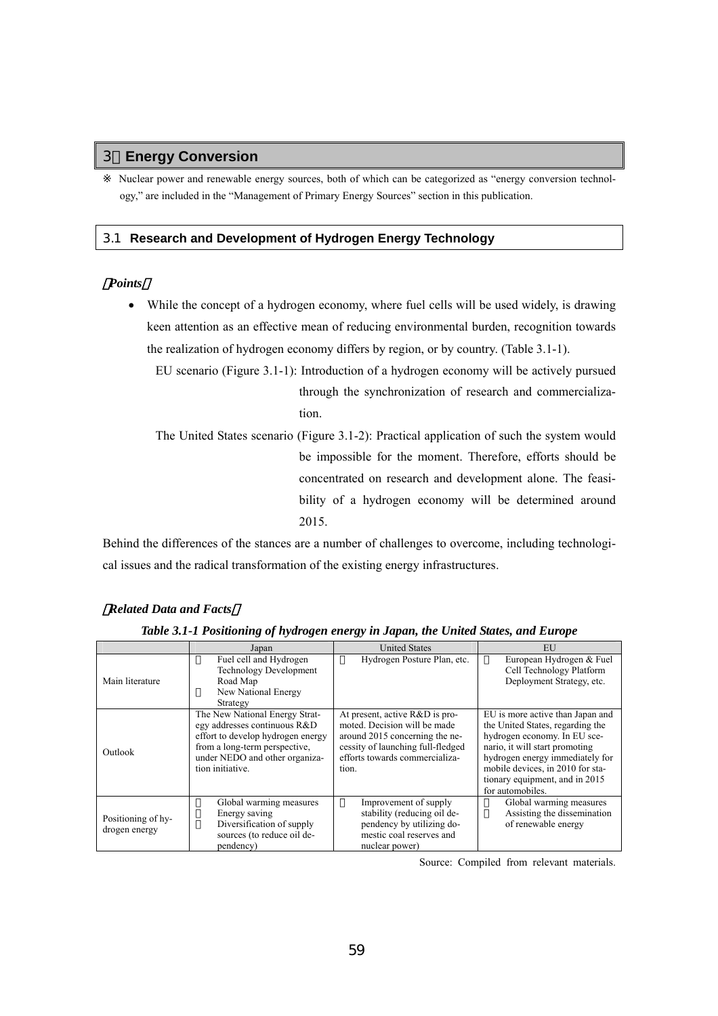# 3. **Energy Conversion**

 Nuclear power and renewable energy sources, both of which can be categorized as "energy conversion technology," are included in the "Management of Primary Energy Sources" section in this publication.

### 3.1 **Research and Development of Hydrogen Energy Technology**

#### [*Points*]

- While the concept of a hydrogen economy, where fuel cells will be used widely, is drawing keen attention as an effective mean of reducing environmental burden, recognition towards the realization of hydrogen economy differs by region, or by country. (Table 3.1-1).
	- EU scenario (Figure 3.1-1): Introduction of a hydrogen economy will be actively pursued through the synchronization of research and commercialization.
	- The United States scenario (Figure 3.1-2): Practical application of such the system would be impossible for the moment. Therefore, efforts should be concentrated on research and development alone. The feasibility of a hydrogen economy will be determined around 2015.

Behind the differences of the stances are a number of challenges to overcome, including technological issues and the radical transformation of the existing energy infrastructures.

|                                     |                                                                                                                                                                                            | ື                                                                                                                                                                                |                                                                                                                                                                                                                                                                     |
|-------------------------------------|--------------------------------------------------------------------------------------------------------------------------------------------------------------------------------------------|----------------------------------------------------------------------------------------------------------------------------------------------------------------------------------|---------------------------------------------------------------------------------------------------------------------------------------------------------------------------------------------------------------------------------------------------------------------|
|                                     | Japan                                                                                                                                                                                      | <b>United States</b>                                                                                                                                                             | EU                                                                                                                                                                                                                                                                  |
| Main literature                     | Fuel cell and Hydrogen<br><b>Technology Development</b><br>Road Map<br>New National Energy<br>Strategy                                                                                     | Hydrogen Posture Plan, etc.                                                                                                                                                      | European Hydrogen & Fuel<br>Cell Technology Platform<br>Deployment Strategy, etc.                                                                                                                                                                                   |
| Outlook                             | The New National Energy Strat-<br>egy addresses continuous R&D<br>effort to develop hydrogen energy<br>from a long-term perspective,<br>under NEDO and other organiza-<br>tion initiative. | At present, active R&D is pro-<br>moted. Decision will be made<br>around 2015 concerning the ne-<br>cessity of launching full-fledged<br>efforts towards commercializa-<br>tion. | EU is more active than Japan and<br>the United States, regarding the<br>hydrogen economy. In EU sce-<br>nario, it will start promoting<br>hydrogen energy immediately for<br>mobile devices, in 2010 for sta-<br>tionary equipment, and in 2015<br>for automobiles. |
| Positioning of hy-<br>drogen energy | Global warming measures<br>Energy saving<br>Diversification of supply<br>sources (to reduce oil de-<br>pendency)                                                                           | Improvement of supply<br>stability (reducing oil de-<br>pendency by utilizing do-<br>mestic coal reserves and<br>nuclear power)                                                  | Global warming measures<br>Assisting the dissemination<br>of renewable energy                                                                                                                                                                                       |

#### [*Related Data and Facts*]

*Table 3.1-1 Positioning of hydrogen energy in Japan, the United States, and Europe* 

Source: Compiled from relevant materials.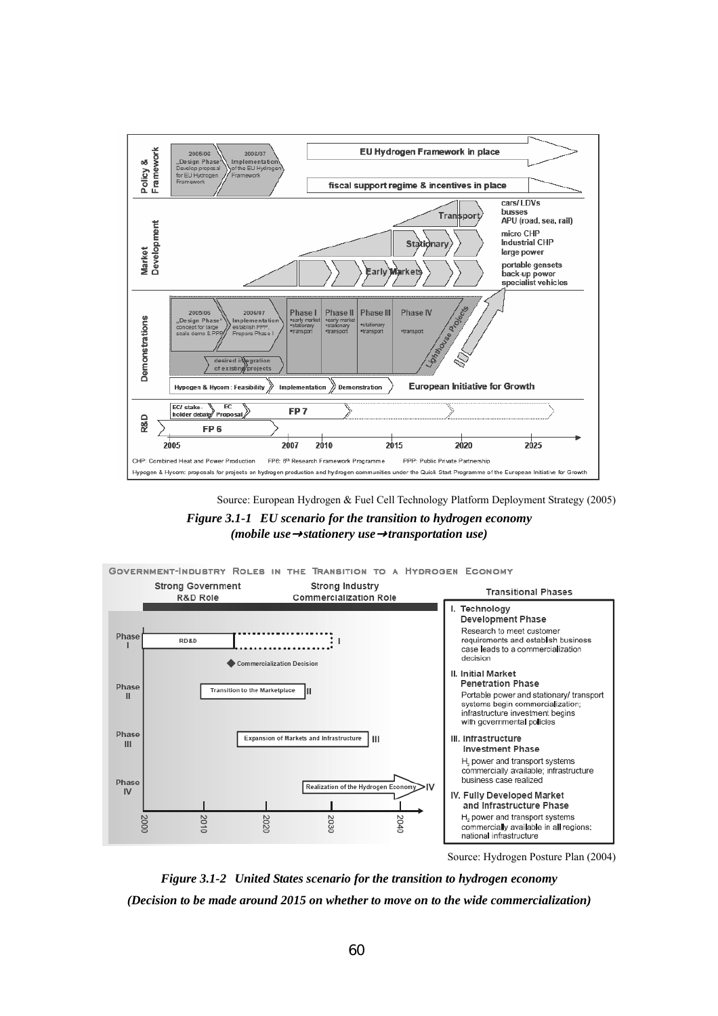

Source: European Hydrogen & Fuel Cell Technology Platform Deployment Strategy (2005) *Figure 3.1-1 EU scenario for the transition to hydrogen economy (mobile use*→*stationery use*→*transportation use)* 



Source: Hydrogen Posture Plan (2004)

*Figure 3.1-2 United States scenario for the transition to hydrogen economy (Decision to be made around 2015 on whether to move on to the wide commercialization)*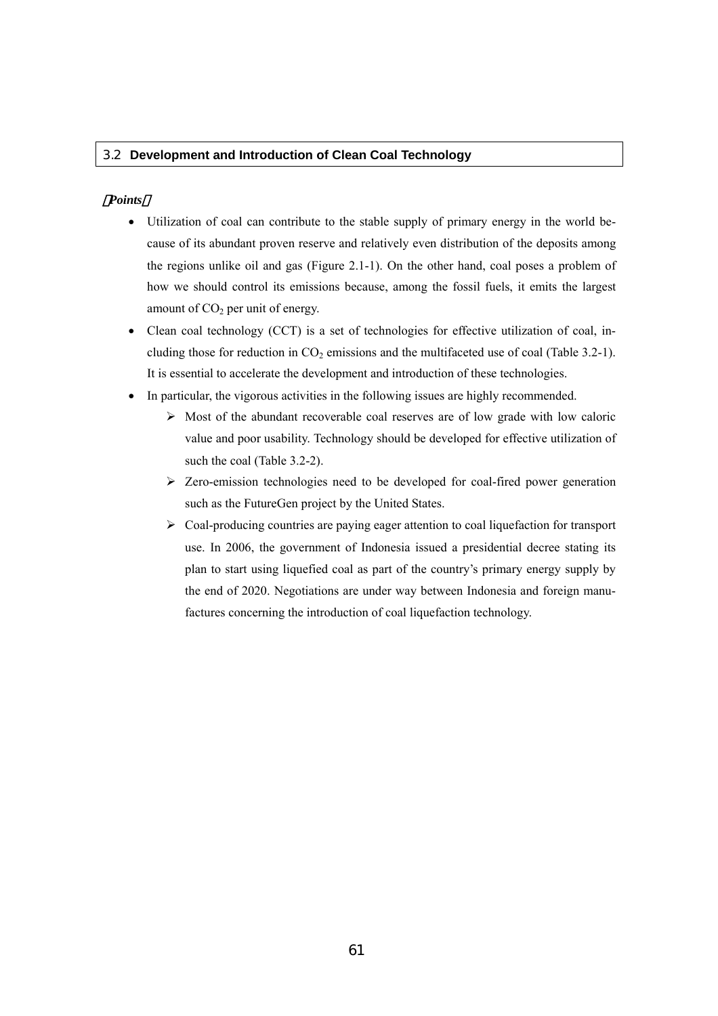### 3.2 **Development and Introduction of Clean Coal Technology**

#### [*Points*]

- Utilization of coal can contribute to the stable supply of primary energy in the world because of its abundant proven reserve and relatively even distribution of the deposits among the regions unlike oil and gas (Figure 2.1-1). On the other hand, coal poses a problem of how we should control its emissions because, among the fossil fuels, it emits the largest amount of  $CO<sub>2</sub>$  per unit of energy.
- Clean coal technology (CCT) is a set of technologies for effective utilization of coal, including those for reduction in  $CO<sub>2</sub>$  emissions and the multifaceted use of coal (Table 3.2-1). It is essential to accelerate the development and introduction of these technologies.
- In particular, the vigorous activities in the following issues are highly recommended.
	- $\triangleright$  Most of the abundant recoverable coal reserves are of low grade with low caloric value and poor usability. Technology should be developed for effective utilization of such the coal (Table 3.2-2).
	- $\triangleright$  Zero-emission technologies need to be developed for coal-fired power generation such as the FutureGen project by the United States.
	- $\triangleright$  Coal-producing countries are paying eager attention to coal liquefaction for transport use. In 2006, the government of Indonesia issued a presidential decree stating its plan to start using liquefied coal as part of the country's primary energy supply by the end of 2020. Negotiations are under way between Indonesia and foreign manufactures concerning the introduction of coal liquefaction technology.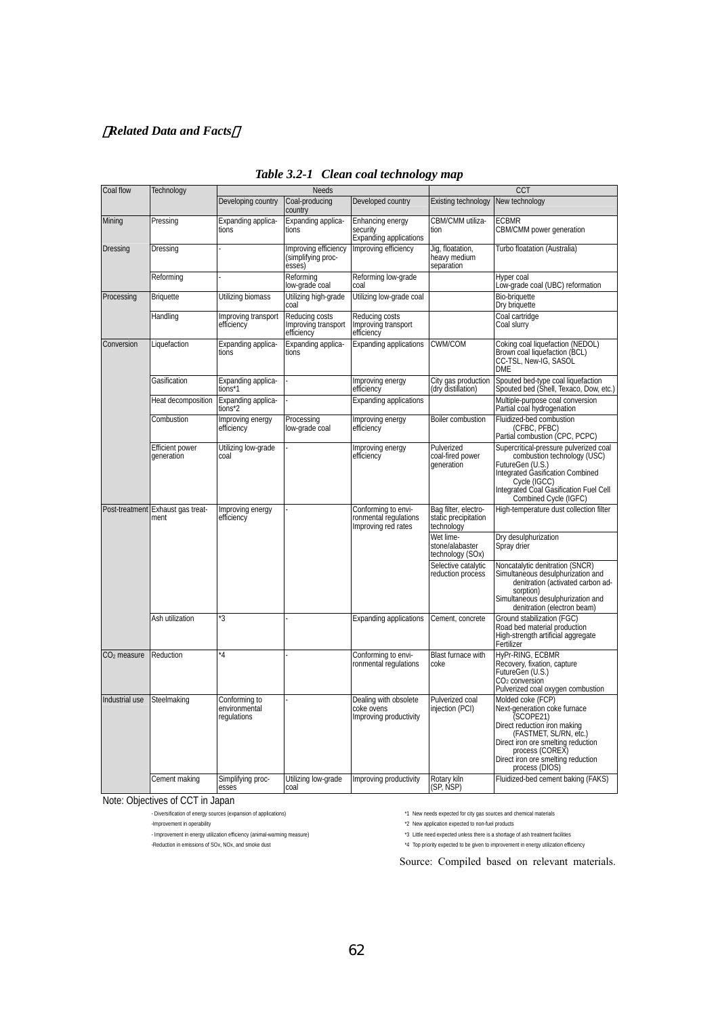# [*Related Data and Facts*]

| Coal flow      | Technology                                | Needs                                                              |                                                      | CCT                                                                                     |                                                            |                                                                                                                                                                                                                                                                                 |  |
|----------------|-------------------------------------------|--------------------------------------------------------------------|------------------------------------------------------|-----------------------------------------------------------------------------------------|------------------------------------------------------------|---------------------------------------------------------------------------------------------------------------------------------------------------------------------------------------------------------------------------------------------------------------------------------|--|
|                |                                           | Developing country                                                 | Coal-producing<br>country                            | Developed country                                                                       | Existing technology                                        | New technology                                                                                                                                                                                                                                                                  |  |
| Mining         | Pressing                                  | Expanding applica-<br>tions                                        | Expanding applica-<br>tions                          | Enhancing energy<br>security<br>Expanding applications                                  | CBM/CMM utiliza-<br>tion                                   | <b>FCBMR</b><br>CBM/CMM power generation                                                                                                                                                                                                                                        |  |
| Dressing       | Dressing                                  |                                                                    | Improving efficiency<br>(simplifying proc-<br>esses) | Improving efficiency                                                                    | Jig, floatation,<br>heavy medium<br>separation             | Turbo floatation (Australia)                                                                                                                                                                                                                                                    |  |
|                | Reforming                                 |                                                                    | Reforming<br>low-grade coal                          | Reforming low-grade<br>coal                                                             |                                                            | Hyper coal<br>Low-grade coal (UBC) reformation                                                                                                                                                                                                                                  |  |
| Processing     | <b>Briquette</b>                          | Utilizing biomass                                                  | Utilizing high-grade<br>coal                         | Utilizing low-grade coal                                                                |                                                            | Bio-briquette<br>Dry briquette                                                                                                                                                                                                                                                  |  |
|                | Handling                                  | Improving transport<br>efficiency                                  | Reducing costs<br>Improving transport<br>efficiency  | Reducing costs<br>Improving transport<br>efficiency                                     |                                                            | Coal cartridge<br>Coal slurry                                                                                                                                                                                                                                                   |  |
| Conversion     | Liquefaction                              | Expanding applica-<br>tions                                        | Expanding applica-<br>tions                          | Expanding applications                                                                  | CWM/COM                                                    | Coking coal liquefaction (NEDOL)<br>Brown coal liquefaction (BCL)<br>CC-TSL, New-IG, SASOL<br><b>DMF</b>                                                                                                                                                                        |  |
|                | Gasification                              | Expanding applica-<br>tions*1                                      |                                                      | Improving energy<br>efficiency                                                          | City gas production<br>(dry distillation)                  | Spouted bed-type coal liquefaction<br>Spouted bed (Shell, Texaco, Dow, etc.)                                                                                                                                                                                                    |  |
|                | Heat decomposition                        | Expanding applica-<br>tions*2                                      |                                                      | Expanding applications                                                                  |                                                            | Multiple-purpose coal conversion<br>Partial coal hydrogenation                                                                                                                                                                                                                  |  |
|                | Combustion                                | Improving energy<br>efficiency                                     | Processing<br>low-grade coal                         | Improving energy<br>efficiency                                                          | <b>Boiler combustion</b>                                   | Fluidized-bed combustion<br>(CFBC, PFBC)<br>Partial combustion (CPC, PCPC)                                                                                                                                                                                                      |  |
|                | <b>Efficient power</b><br>generation      | Utilizing low-grade<br>coal                                        |                                                      | Improving energy<br>efficiency                                                          | Pulverized<br>coal-fired power<br>qeneration               | Supercritical-pressure pulverized coal<br>combustion technology (USC)<br>FutureGen (U.S.)<br>Integrated Gasification Combined<br>Cycle (IGCC)<br>Integrated Coal Gasification Fuel Cell<br>Combined Cycle (IGFC)                                                                |  |
|                | Post-treatment Exhaust gas treat-<br>ment | Improving energy<br>efficiency                                     |                                                      | Conforming to envi-<br>ronmental regulations<br>Improving red rates                     | Bag filter, electro-<br>static precipitation<br>technology | High-temperature dust collection filter                                                                                                                                                                                                                                         |  |
|                |                                           |                                                                    |                                                      |                                                                                         | Wet lime-<br>stone/alabaster<br>technology (SOx)           | Dry desulphurization<br>Spray drier                                                                                                                                                                                                                                             |  |
|                |                                           |                                                                    |                                                      |                                                                                         | Selective catalytic<br>reduction process                   | Noncatalytic denitration (SNCR)<br>Simultaneous desulphurization and<br>denitration (activated carbon ad-<br>sorption)<br>Simultaneous desulphurization and<br>denitration (electron beam)                                                                                      |  |
|                | Ash utilization                           | ٠З                                                                 |                                                      | <b>Expanding applications</b>                                                           | Cement, concrete                                           | Ground stabilization (FGC)<br>Road bed material production<br>High-strength artificial aggregate<br>Fertilizer                                                                                                                                                                  |  |
| $CO2$ measure  | Reduction                                 | ٠4                                                                 |                                                      | Conforming to envi-<br>ronmental regulations                                            | <b>Blast furnace with</b><br>coke                          | HyPr-RING, ECBMR<br>Recovery, fixation, capture<br>FutureGen (U.S.)<br>CO <sub>2</sub> conversion<br>Pulverized coal oxygen combustion                                                                                                                                          |  |
| Industrial use | Steelmaking<br>Cement making              | Conforming to<br>environmental<br>regulations<br>Simplifying proc- | Utilizing low-grade                                  | Dealing with obsolete<br>coke ovens<br>Improving productivity<br>Improving productivity | Pulverized coal<br>injection (PCI)<br>Rotary kiln          | Molded coke (FCP)<br>Next-generation coke furnace<br>(SCOPE21)<br>Direct reduction iron making<br>(FASTMET, SL/RN, etc.)<br>Direct iron ore smelting reduction<br>process (COREX)<br>Direct iron ore smelting reduction<br>process (DIOS)<br>Fluidized-bed cement baking (FAKS) |  |
|                |                                           | esses                                                              | coal                                                 |                                                                                         | (SP, NSP)                                                  |                                                                                                                                                                                                                                                                                 |  |

# *Table 3.2-1 Clean coal technology map*

Note: Objectives of CCT in Japan<br>- Diversification of energy sources (expansion of applications)

\*1 New needs expected for city gas sources and chemical materials

-Improvement in operability the state of the state of the state of the state of the state of the products of the state of the products of the state of the state of the state of the state of the state of the state of the st

- Improvement in energy utilization efficiency (animal-warming measure) \*3 Little need expected unless there is a shortage of ash treatment facilities

-Reduction in emissions of SOx, NOx, and smoke dust \*4 Top priority expected to be given to improvement in energy utilization efficiency

Source: Compiled based on relevant materials.